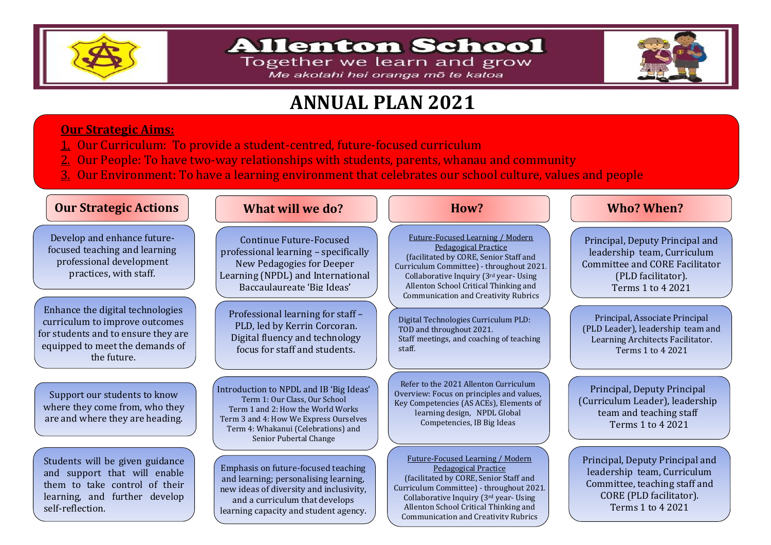

## **Allenton School**

Together we learn and grow Me akotahi hei oranga mō te katoa



# **ANNUAL PLAN 2021**

### **Our Strategic Aims:**

- 1. Our Curriculum:To provide a student-centred, future-focused curriculum
- $\overline{2}$ . Our People: To have two-way relationships with students, parents, whanau and community
- 3. Our Environment: To have a learning environment that celebrates our school culture, values and people

### **Our Strategic Actions What will we do?** Now? Who who? When?  **How?** Develop and enhance futurefocused teaching and learning professional development practices, with staff. Enhance the digital technologies curriculum to improve outcomes for students and to ensure they are equipped to meet the demands of the future. Support our students to know where they come from, who they are and where they are heading. Students will be given guidance and support that will enable them to take control of their learning, and further develop self-reflection. Continue Future-Focused professional learning – specifically New Pedagogies for Deeper Learning (NPDL) and International Baccaulaureate 'Big Ideas' Future-Focused Learning / Modern Pedagogical Practice (facilitated by CORE, Senior Staff and Curriculum Committee) - throughout 2021. Collaborative Inquiry (3rd year- Using Allenton School Critical Thinking and Communication and Creativity Rubrics Principal, Deputy Principal and leadership team, Curriculum Committee and CORE Facilitator (PLD facilitator). Terms 1 to 4 2021 Professional learning for staff – PLD, led by Kerrin Corcoran. Digital fluency and technology focus for staff and students. Digital Technologies Curriculum PLD: TOD and throughout 2021. Staff meetings, and coaching of teaching staff. Principal, Associate Principal (PLD Leader), leadership team and Learning Architects Facilitator. Terms 1 to 4 2021 Introduction to NPDL and IB 'Big Ideas' Term 1: Our Class, Our School Term 1 and 2: How the World Works Term 3 and 4: How We Express Ourselves Term 4: Whakanui (Celebrations) and Senior Pubertal Change Refer to the 2021 Allenton Curriculum Overview: Focus on principles and values, Key Competencies (AS ACEs), Elements of learning design, NPDL Global Competencies, IB Big Ideas Principal, Deputy Principal (Curriculum Leader), leadership team and teaching staff Terms 1 to 4 2021 Emphasis on future-focused teaching and learning; personalising learning, new ideas of diversity and inclusivity, and a curriculum that develops learning capacity and student agency. Future-Focused Learning / Modern Pedagogical Practice (facilitated by CORE, Senior Staff and Curriculum Committee) - throughout 2021. Collaborative Inquiry (3rd year- Using Allenton School Critical Thinking and Principal, Deputy Principal and leadership team, Curriculum Committee, teaching staff and CORE (PLD facilitator). Terms 1 to 4 2021

Communication and Creativity Rubrics